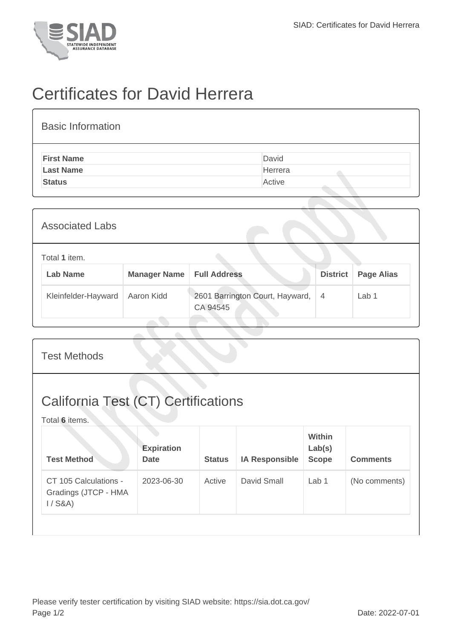

## Certificates for David Herrera

| <b>Basic Information</b> |         |
|--------------------------|---------|
| <b>First Name</b>        | David   |
| <b>Last Name</b>         | Herrera |
| <b>Status</b>            | Active  |

| <b>Associated Labs</b>           |                     |                                             |                 |                   |
|----------------------------------|---------------------|---------------------------------------------|-----------------|-------------------|
| Total 1 item.<br><b>Lab Name</b> | <b>Manager Name</b> | <b>Full Address</b>                         | <b>District</b> | <b>Page Alias</b> |
| Kleinfelder-Hayward              | Aaron Kidd          | 2601 Barrington Court, Hayward,<br>CA 94545 | $\overline{4}$  | Lab <sub>1</sub>  |

| <b>California Test (CT) Certifications</b><br>Total 6 items.<br>Within<br><b>Expiration</b><br>Lab(s)<br><b>Test Method</b><br><b>Scope</b><br><b>Comments</b><br><b>Date</b><br><b>Status</b><br><b>IA Responsible</b><br>David Small<br>CT 105 Calculations -<br>2023-06-30<br>Active<br>Lab <sub>1</sub><br>(No comments)<br>Gradings (JTCP - HMA | <b>Test Methods</b> |  |  |  |
|------------------------------------------------------------------------------------------------------------------------------------------------------------------------------------------------------------------------------------------------------------------------------------------------------------------------------------------------------|---------------------|--|--|--|
|                                                                                                                                                                                                                                                                                                                                                      |                     |  |  |  |
|                                                                                                                                                                                                                                                                                                                                                      |                     |  |  |  |
| $1/$ S&A)                                                                                                                                                                                                                                                                                                                                            |                     |  |  |  |